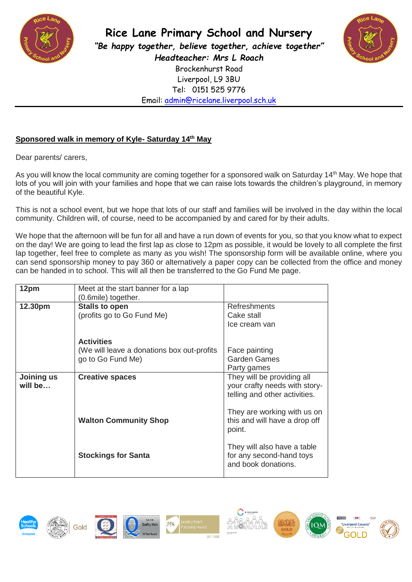

**Rice Lane Primary School and Nursery** *"Be happy together, believe together, achieve together" Headteacher: Mrs L Roach* Brockenhurst Road Liverpool, L9 3BU Tel: 0151 525 9776 Email: [admin@ricelane.liverpool.sch.uk](mailto:admin@ricelane.liverpool.sch.uk)



## **Sponsored walk in memory of Kyle- Saturday 14th May**

Dear parents/ carers,

As you will know the local community are coming together for a sponsored walk on Saturday 14<sup>th</sup> May. We hope that lots of you will join with your families and hope that we can raise lots towards the children's playground, in memory of the beautiful Kyle.

This is not a school event, but we hope that lots of our staff and families will be involved in the day within the local community. Children will, of course, need to be accompanied by and cared for by their adults.

We hope that the afternoon will be fun for all and have a run down of events for you, so that you know what to expect on the day! We are going to lead the first lap as close to 12pm as possible, it would be lovely to all complete the first lap together, feel free to complete as many as you wish! The sponsorship form will be available online, where you can send sponsorship money to pay 360 or alternatively a paper copy can be collected from the office and money can be handed in to school. This will all then be transferred to the Go Fund Me page.

| 12pm                  | Meet at the start banner for a lap<br>(0.6mile) together.                             |                                                                                              |
|-----------------------|---------------------------------------------------------------------------------------|----------------------------------------------------------------------------------------------|
| 12.30pm               | <b>Stalls to open</b><br>(profits go to Go Fund Me)                                   | <b>Refreshments</b><br>Cake stall<br>Ice cream van                                           |
|                       | <b>Activities</b><br>(We will leave a donations box out-profits)<br>go to Go Fund Me) | Face painting<br><b>Garden Games</b><br>Party games                                          |
| Joining us<br>will be | <b>Creative spaces</b>                                                                | They will be providing all<br>your crafty needs with story-<br>telling and other activities. |
|                       | <b>Walton Community Shop</b>                                                          | They are working with us on<br>this and will have a drop off<br>point.                       |
|                       | <b>Stockings for Santa</b>                                                            | They will also have a table<br>for any second-hand toys<br>and book donations.               |